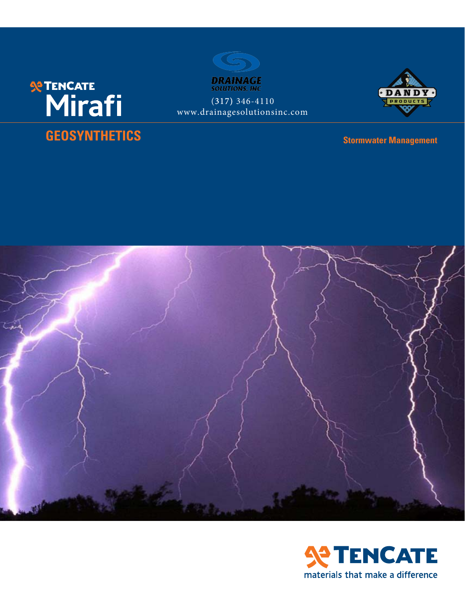



www.drainagesolutionsinc.com





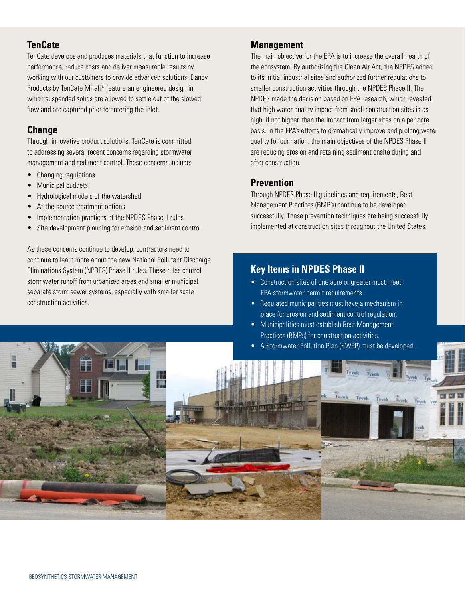# **TenCate**

TenCate develops and produces materials that function to increase performance, reduce costs and deliver measurable results by working with our customers to provide advanced solutions. Dandy Products by TenCate Mirafi® feature an engineered design in which suspended solids are allowed to settle out of the slowed flow and are captured prior to entering the inlet.

# **Change**

Through innovative product solutions, TenCate is committed to addressing several recent concerns regarding stormwater management and sediment control. These concerns include:

- Changing regulations
- Municipal budgets
- Hydrological models of the watershed
- At-the-source treatment options
- Implementation practices of the NPDES Phase II rules
- Site development planning for erosion and sediment control

As these concerns continue to develop, contractors need to continue to learn more about the new National Pollutant Discharge Eliminations System (NPDES) Phase II rules. These rules control stormwater runoff from urbanized areas and smaller municipal separate storm sewer systems, especially with smaller scale construction activities.

# **Management**

The main objective for the EPA is to increase the overall health of the ecosystem. By authorizing the Clean Air Act, the NPDES added to its initial industrial sites and authorized further regulations to smaller construction activities through the NPDES Phase II. The NPDES made the decision based on EPA research, which revealed that high water quality impact from small construction sites is as high, if not higher, than the impact from larger sites on a per acre basis. In the EPA's efforts to dramatically improve and prolong water quality for our nation, the main objectives of the NPDES Phase II are reducing erosion and retaining sediment onsite during and after construction.

# **Prevention**

Through NPDES Phase II guidelines and requirements, Best Management Practices (BMP's) continue to be developed successfully. These prevention techniques are being successfully implemented at construction sites throughout the United States.

# **Key Items in NPDES Phase II**

- Construction sites of one acre or greater must meet EPA stormwater permit requirements.
- Regulated municipalities must have a mechanism in place for erosion and sediment control regulation.
- Municipalities must establish Best Management Practices (BMPs) for construction activities.
- A Stormwater Pollution Plan (SWPP) must be developed.

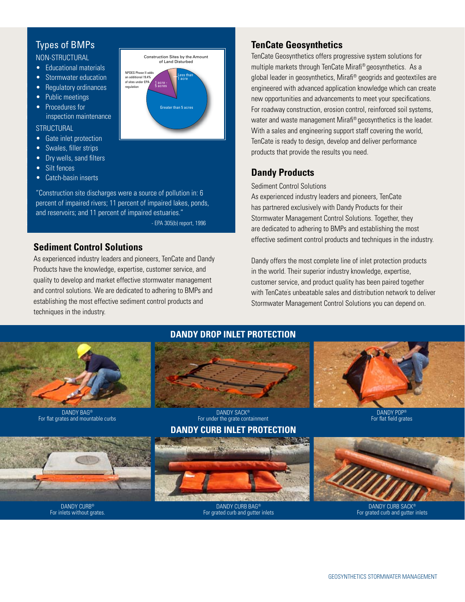### Non-Structural

- Educational materials
- 
- 
- 
- 
- **challenge.** Inspection maintenance

### **STRUCTURAL**

- **The Gate inlet protection** the tensile reinforcement, our tensile reinforcement, our technology of tensile reinforcement, our tensile reinforcement,  $\blacksquare$
- **allows Construction of Swales, filler strips** with far steeper face angles than  $\alpha$
- **Permitted by the solid angle of repose. The solid angle of repose. This is another way wells, sand filters**
- $\bullet$  Silt fences a problem and goes beyond the limits to reach its to reach its to reach its to reach its to
- Catch-basin inserts

percent of impaired rivers; 11 percent of impaired lakes, ponds, and reservoirs; and 11 percent of impaired estuaries." appearance. "Construction site discharges were a source of pollution in: 6

- EPA 305(b) report, 1996

# **Sediment Control Solutions**

As experienced industry leaders and pioneers, TenCate and Dandy Products have the knowledge, expertise, customer service, and quality to develop and market effective stormwater management and control solutions. We are dedicated to adhering to BMPs and establishing the most effective sediment control products and techniques in the industry.



# **TenCate Geosynthetics**

TenCate Geosynthetics offers progressive system solutions for multiple markets through TenCate Mirafi® geosynthetics. As a global leader in geosynthetics, Mirafi® geogrids and geotextiles are engineered with advanced application knowledge which can create new opportunities and advancements to meet your specifications. For roadway construction, erosion control, reinforced soil systems, water and waste management Mirafi® geosynthetics is the leader. With a sales and engineering support staff covering the world, TenCate is ready to design, develop and deliver performance products that provide the results you need.

# **Dandy Products**

#### Sediment Control Solutions

As experienced industry leaders and pioneers, TenCate has partnered exclusively with Dandy Products for their Stormwater Management Control Solutions. Together, they are dedicated to adhering to BMPs and establishing the most effective sediment control products and techniques in the industry.

Dandy offers the most complete line of inlet protection products in the world. Their superior industry knowledge, expertise, customer service, and product quality has been paired together with TenCate' s unbeatable sales and distribution network to deliver Stormwater Management Control Solutions you can depend on.





Dandy Bag® For flat grates and mountable curbs



For inlets without grates.



## **Dandy Curb Inlet Protection**





DANDY POP® For flat field grates